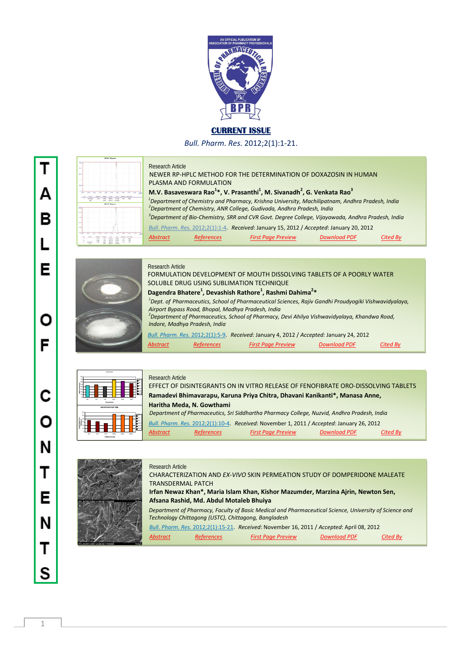

# **CURRENT ISSUE**

*Bull. Pharm. Res.* 2012;2(1):1-21.

|               |          |                 |                |                | <b>HPLC Report</b>     |                 |               |                   |             |            |
|---------------|----------|-----------------|----------------|----------------|------------------------|-----------------|---------------|-------------------|-------------|------------|
| 50            |          |                 |                |                |                        |                 |               |                   |             |            |
|               |          |                 |                |                |                        |                 |               |                   |             |            |
| <b>Well</b>   |          |                 |                |                |                        |                 |               |                   |             |            |
|               |          |                 |                |                |                        |                 |               |                   |             |            |
| 55.00         |          |                 |                |                |                        |                 |               |                   |             |            |
|               |          |                 |                |                |                        |                 |               |                   |             |            |
| 199.99        |          |                 |                |                |                        |                 |               |                   |             |            |
|               |          |                 |                |                |                        |                 |               |                   |             |            |
| 48.00-        |          |                 |                |                |                        |                 |               |                   |             |            |
|               |          |                 |                |                |                        |                 |               |                   |             |            |
| 4.64<br>1,000 |          | 466<br>3,656    | The            | 124            | 496                    | ARK             | <b>S</b> HM   | w.                | <b>Alle</b> | 动物         |
|               | $\Omega$ | Neix            | Phoen. I       | Hotel          | <b>Arge</b>            | Gre             |               | Taliheim Resinute |             |            |
|               | ï        | Ersteun         | 1.551          | Motel          | <b>EMOVA II</b>        | 45.744          | 1.96          | mos               |             |            |
|               |          | <b>Security</b> |                | <b>Alessa</b>  | SMOKE 1                |                 |               |                   |             |            |
|               |          |                 |                |                |                        | <b>CAR FRAM</b> |               |                   |             |            |
|               |          |                 |                |                | <b>HPLC Report</b>     |                 |               |                   |             |            |
|               |          |                 |                |                |                        |                 |               |                   |             |            |
| 55            |          |                 |                |                |                        |                 |               |                   |             |            |
| 30,404        |          |                 |                |                |                        |                 |               |                   |             |            |
|               |          |                 |                |                |                        |                 |               |                   |             |            |
| $27 - 64$     |          |                 |                |                |                        |                 |               |                   |             |            |
|               |          |                 |                |                |                        |                 |               |                   |             |            |
| 51.01         |          |                 |                |                |                        |                 |               |                   |             |            |
|               |          |                 |                |                |                        |                 |               |                   |             |            |
| <b>W</b> G    |          |                 |                |                |                        |                 |               |                   |             |            |
|               |          |                 |                |                |                        |                 |               |                   |             |            |
| 15.00         |          | w.<br>686       | 526            | <b>TEM</b>     | 456                    | œ               | п.            | <b>ARY</b>        | 159         |            |
|               | ø        | <b>State</b>    | <b>DAM?</b>    | <b>Shridta</b> | Area                   | Curs.           | Tel Parker    | Total Plaza       |             | <b>Jan</b> |
|               | ٠        |                 | 4.149          | 1836           | <b>C165.9</b>          | 19,490          | ces           | cu-               |             |            |
|               | ×<br>ï   | <b>FOATES</b>   | 6.60<br>$\sim$ | lough<br>stor. | 01152<br><b>MAND A</b> | 19,246<br>mass  | 1.44<br>5.18. | KNI<br><b>MIT</b> |             |            |

# Research Article

|                    | Research Anicle        |                   |                                                                                                                         |                     |          |
|--------------------|------------------------|-------------------|-------------------------------------------------------------------------------------------------------------------------|---------------------|----------|
|                    |                        |                   | NEWER RP-HPLC METHOD FOR THE DETERMINATION OF DOXAZOSIN IN HUMAN                                                        |                     |          |
|                    | PLASMA AND FORMULATION |                   |                                                                                                                         |                     |          |
|                    |                        |                   | M.V. Basaveswara Rao <sup>1*</sup> , V. Prasanthi <sup>1</sup> , M. Sivanadh <sup>2</sup> , G. Venkata Rao <sup>3</sup> |                     |          |
|                    |                        |                   | <sup>1</sup> Department of Chemistry and Pharmacy, Krishna University, Machilipatnam, Andhra Pradesh, India             |                     |          |
| <b>HPLC Report</b> |                        |                   | <sup>2</sup> Department of Chemistry, ANR College, Gudivada, Andhra Pradesh, India                                      |                     |          |
|                    |                        |                   | <sup>3</sup> Department of Bio-Chemistry, SRR and CVR Govt. Degree College, Vijayawada, Andhra Pradesh, India           |                     |          |
|                    |                        |                   | Bull. Pharm. Res. 2012;2(1):1-4. Received: January 15, 2012 / Accepted: January 20, 2012                                |                     |          |
|                    | <b>Abstract</b>        | <b>References</b> | <b>First Page Preview</b>                                                                                               | <b>Download PDF</b> | Cited By |
|                    |                        |                   |                                                                                                                         |                     |          |



#### Research Article

Research Article

FORMULATION DEVELOPMENT OF MOUTH DISSOLVING TABLETS OF A POORLY WATER SOLUBLE DRUG USING SUBLIMATION TECHNIQUE *Dagendra Bhatere<sup>1</sup>***, Devashish Rathore<sup>1</sup>, Rashmi Dahima<sup>2</sup>\*** *1 Dept. of Pharmaceutics, School of Pharmaceutical Sciences, Rajiv Gandhi Proudyogiki Vishwavidyalaya, Airport Bypass Road, Bhopal, Madhya Pradesh, India 2 Department of Pharmaceutics, School of Pharmacy, Devi Ahilya Vishwavidyalaya, Khandwa Road, Indore, Madhya Pradesh, India Bull. Pharm. Res.* 2012;2(1):5-9. *Received:* January 4, 2012 / *Accepted:* January 24, 2012 *Abstract References First Page Preview Download PDF Cited By*

| 80<br>70<br>60<br>wating time(secs)<br>50<br>40<br>30<br>20<br>to:<br>ć | qδ  | cp2 | ca3<br>termulations | angl                  | mgl   | mp   | gcp1<br>gco2<br>Bcp3<br>Ong<br><b>Bug</b><br><b>Bug</b> |
|-------------------------------------------------------------------------|-----|-----|---------------------|-----------------------|-------|------|---------------------------------------------------------|
| w<br>50<br><b>CIS INTEGRATION</b><br>×<br><b>THEIM OF</b><br>×          |     |     |                     | DISINTE GRATION TIME  |       |      | $-1$<br>eCV.<br>$-02$<br>n550                           |
| $\mathbf{z}$<br>10                                                      | CP1 | CPI | CP3                 | 55(2)<br>FORMULATIONS | 55/22 | 5503 | 0556<br>0556                                            |

### Research Article EFFECT OF DISINTEGRANTS ON IN VITRO RELEASE OF FENOFIBRATE ORO-DISSOLVING TABLETS **Ramadevi Bhimavarapu, Karuna Priya Chitra, Dhavani Kanikanti\*, Manasa Anne, Haritha Meda, N. Gowthami** *Department of Pharmaceutics, Sri Siddhartha Pharmacy College, Nuzvid, Andhra Pradesh, India Bull. Pharm. Res.* 2012;2(1):10-4. *Received*: November 1, 2011 / *Accepted*: January 26, 2012 *Abstract References First Page Preview Download PDF Cited By*



CHARACTERIZATION AND *EX-VIVO* SKIN PERMEATION STUDY OF DOMPERIDONE MALEATE TRANSDERMAL PATCH  **Irfan Newaz Khan\*, Maria Islam Khan, Kishor Mazumder, Marzina Ajrin, Newton Sen, Afsana Rashid, Md. Abdul Motaleb Bhuiya**

 *Department of Pharmacy, Faculty of Basic Medical and Pharmaceutical Science, University of Science and Technology Chittagong (USTC), Chittagong, Bangladesh Bull. Pharm. Res.* 2012;2(1):15-21. *Received*: November 16, 2011 / *Accepted*: April 08, 2012

|          |                   | Bull, Phurmi, Res. 2012;2(1):15-21. Received: November 16, 2011 / Accepted: April 08, 2012 |                     |          |
|----------|-------------------|--------------------------------------------------------------------------------------------|---------------------|----------|
| Abstract | <b>References</b> | <b>First Page Preview</b>                                                                  | <b>Download PDF</b> | Cited By |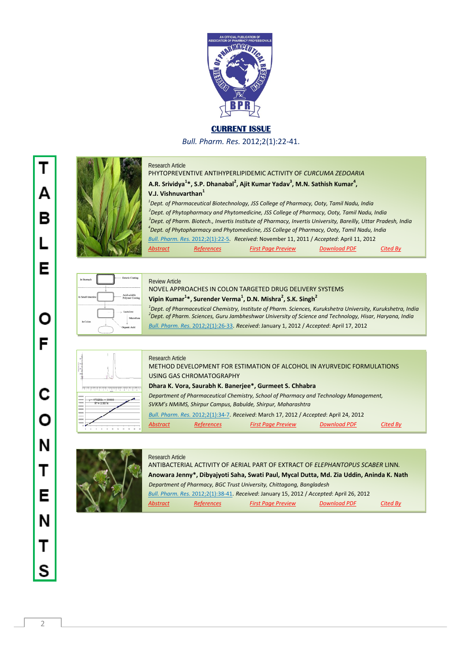

# **CURRENT ISSUE**

*Bull. Pharm. Res.* 2012;2(1):22-41.





## PHYTOPREVENTIVE ANTIHYPERLIPIDEMIC ACTIVITY OF *CURCUMA ZEDOARIA* A.R. Srividya<sup>1</sup>\*, S.P. Dhanabal<sup>2</sup>, Ajit Kumar Yadav<sup>3</sup>, M.N. Sathish Kumar<sup>4</sup>, **V.J. Vishnuvarthan<sup>1</sup>** *1 Dept. of Pharmaceutical Biotechnology, JSS College of Pharmacy, Ooty, Tamil Nadu, India 2 Dept. of Phytopharmacy and Phytomedicine, JSS College of Pharmacy, Ooty, Tamil Nadu, India <sup>3</sup> Dept. of Pharm. Biotech., Invertis Institute of Pharmacy, Invertis University, Bareilly, Uttar Pradesh, India 4 Dept. of Phytopharmacy and Phytomedicine, JSS College of Pharmacy, Ooty, Tamil Nadu, India Bull. Pharm. Res.* 2012;2(1):22-5. *Received*: November 11, 2011 / *Accepted*: April 11, 2012

*Abstract References First Page Preview Download PDF Cited By*

| In Stomach         | Enteric Coating                           |
|--------------------|-------------------------------------------|
| In Small Intestine | Acid-soluble<br>Polymer Coating           |
| In Colon           | - Lactulose<br>Microflora<br>Organic Acid |

## *1 Dept. of Pharmaceutical Chemistry, Institute of Pharm. Sciences, Kurukshetra University, Kurukshetra, India*  *2 Dept. of Pharm. Sciences, Guru Jambheshwar University of Science and Technology, Hisar, Haryana, India* Review Article NOVEL APPROACHES IN COLON TARGETED DRUG DELIVERY SYSTEMS **MISYON CONDUCT CONDUCT Vipin Kumar<sup>1</sup>\*, Surender Verma<sup>1</sup>, D.N. Mishra<sup>2</sup>, S.K. Singh<sup>2</sup>**

  *Bull. Pharm. Res.* 2012;2(1):26-33. *Received*: January 1, 2012 / *Accepted*: April 17, 2012

|                                                                |                                         | Į<br><b>Series</b> |         |  | ÷<br>ï |  |
|----------------------------------------------------------------|-----------------------------------------|--------------------|---------|--|--------|--|
| 8000000<br>8000000<br>7000000<br>6300000<br>5000000<br>4000000 | $y = 473256x + 30880$<br>$R^2 = 0.9974$ |                    |         |  |        |  |
| 5500000<br>2000000<br>1303000                                  |                                         | w                  | $^{12}$ |  |        |  |

## Research Article METHOD DEVELOPMENT FOR ESTIMATION OF ALCOHOL IN AYURVEDIC FORMULATIONS USING GAS CHROMATOGRAPHY  **Dhara K. Vora, Saurabh K. Banerjee\*, Gurmeet S. Chhabra** *Department of Pharmaceutical Chemistry, School of Pharmacy and Technology Management, SVKM's NMiMS, Shirpur Campus, Babulde, Shirpur, Maharashtra Bull. Pharm. Res.* 2012;2(1):34-7. *Received*: March 17, 2012 / *Accepted*: April 24, 2012 *Abstract References First Page Preview Download PDF Cited By*



#### Research Article

ANTIBACTERIAL ACTIVITY OF AERIAL PART OF EXTRACT OF *ELEPHANTOPUS SCABER* LINN*.*  **Anowara Jenny\*, Dibyajyoti Saha, Swati Paul, Mycal Dutta, Md. Zia Uddin, Aninda K. Nath** *Department of Pharmacy, BGC Trust University, Chittagong, Bangladesh Bull. Pharm. Res.* 2012;2(1):38-41. *Received*: January 15, 2012 / *Accepted*: April 26, 2012 *Abstract References First Page Preview Download PDF Cited By*